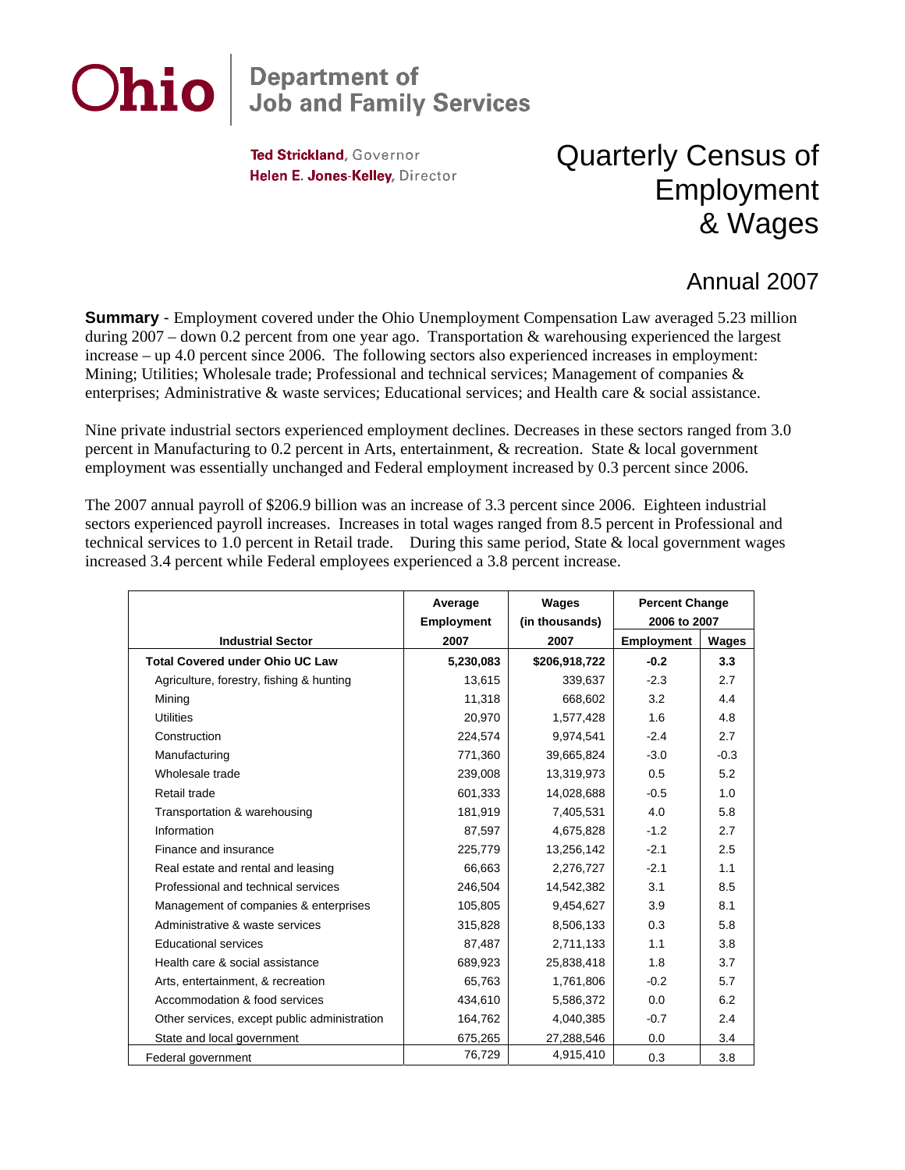## **Ohio Department of<br>Job and Family Services**

Ted Strickland, Governor Helen E. Jones-Kelley, Director

## Quarterly Census of Employment & Wages

## Annual 2007

**Summary** - Employment covered under the Ohio Unemployment Compensation Law averaged 5.23 million during 2007 – down 0.2 percent from one year ago. Transportation & warehousing experienced the largest increase – up 4.0 percent since 2006. The following sectors also experienced increases in employment: Mining; Utilities; Wholesale trade; Professional and technical services; Management of companies & enterprises; Administrative & waste services; Educational services; and Health care & social assistance.

Nine private industrial sectors experienced employment declines. Decreases in these sectors ranged from 3.0 percent in Manufacturing to 0.2 percent in Arts, entertainment, & recreation. State & local government employment was essentially unchanged and Federal employment increased by 0.3 percent since 2006.

The 2007 annual payroll of \$206.9 billion was an increase of 3.3 percent since 2006. Eighteen industrial sectors experienced payroll increases. Increases in total wages ranged from 8.5 percent in Professional and technical services to 1.0 percent in Retail trade. During this same period, State & local government wages increased 3.4 percent while Federal employees experienced a 3.8 percent increase.

|                                              | Average           | <b>Wages</b>   | <b>Percent Change</b> |              |
|----------------------------------------------|-------------------|----------------|-----------------------|--------------|
|                                              | <b>Employment</b> | (in thousands) | 2006 to 2007          |              |
| <b>Industrial Sector</b>                     | 2007              | 2007           | <b>Employment</b>     | <b>Wages</b> |
| <b>Total Covered under Ohio UC Law</b>       | 5,230,083         | \$206,918,722  | $-0.2$                | 3.3          |
| Agriculture, forestry, fishing & hunting     | 13,615            | 339,637        | $-2.3$                | 2.7          |
| Mining                                       | 11,318            | 668,602        | 3.2                   | 4.4          |
| <b>Utilities</b>                             | 20,970            | 1,577,428      | 1.6                   | 4.8          |
| Construction                                 | 224,574           | 9,974,541      | $-2.4$                | 2.7          |
| Manufacturing                                | 771,360           | 39,665,824     | $-3.0$                | $-0.3$       |
| Wholesale trade                              | 239,008           | 13,319,973     | 0.5                   | 5.2          |
| Retail trade                                 | 601,333           | 14,028,688     | $-0.5$                | 1.0          |
| Transportation & warehousing                 | 181,919           | 7,405,531      | 4.0                   | 5.8          |
| Information                                  | 87,597            | 4,675,828      | $-1.2$                | 2.7          |
| Finance and insurance                        | 225,779           | 13,256,142     | $-2.1$                | 2.5          |
| Real estate and rental and leasing           | 66,663            | 2,276,727      | $-2.1$                | 1.1          |
| Professional and technical services          | 246,504           | 14,542,382     | 3.1                   | 8.5          |
| Management of companies & enterprises        | 105,805           | 9,454,627      | 3.9                   | 8.1          |
| Administrative & waste services              | 315,828           | 8,506,133      | 0.3                   | 5.8          |
| <b>Educational services</b>                  | 87,487            | 2,711,133      | 1.1                   | 3.8          |
| Health care & social assistance              | 689.923           | 25,838,418     | 1.8                   | 3.7          |
| Arts, entertainment, & recreation            | 65,763            | 1,761,806      | $-0.2$                | 5.7          |
| Accommodation & food services                | 434,610           | 5,586,372      | 0.0                   | 6.2          |
| Other services, except public administration | 164,762           | 4,040,385      | $-0.7$                | 2.4          |
| State and local government                   | 675,265           | 27,288,546     | 0.0                   | 3.4          |
| Federal government                           | 76,729            | 4,915,410      | 0.3                   | 3.8          |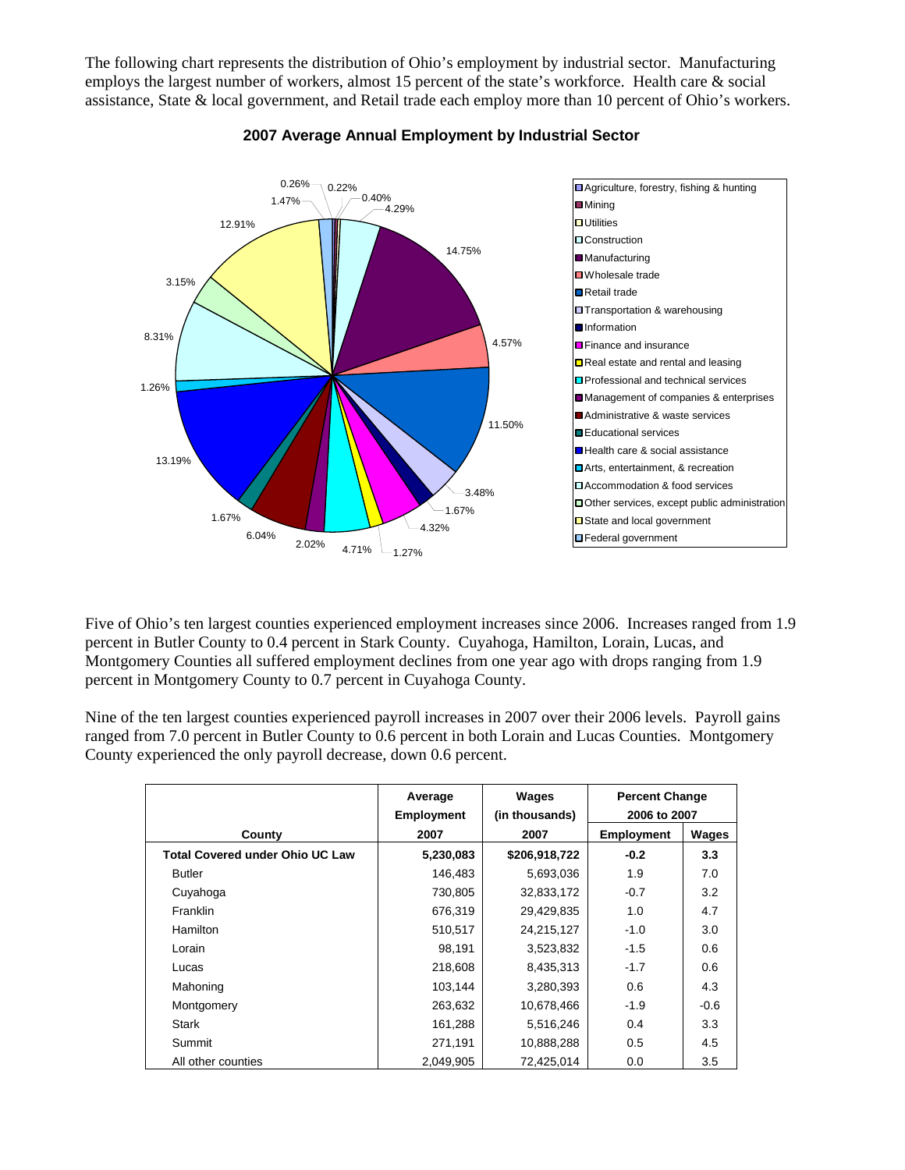The following chart represents the distribution of Ohio's employment by industrial sector. Manufacturing employs the largest number of workers, almost 15 percent of the state's workforce. Health care & social assistance, State & local government, and Retail trade each employ more than 10 percent of Ohio's workers.



## **2007 Average Annual Employment by Industrial Sector**

Five of Ohio's ten largest counties experienced employment increases since 2006. Increases ranged from 1.9 percent in Butler County to 0.4 percent in Stark County. Cuyahoga, Hamilton, Lorain, Lucas, and Montgomery Counties all suffered employment declines from one year ago with drops ranging from 1.9 percent in Montgomery County to 0.7 percent in Cuyahoga County.

Nine of the ten largest counties experienced payroll increases in 2007 over their 2006 levels. Payroll gains ranged from 7.0 percent in Butler County to 0.6 percent in both Lorain and Lucas Counties. Montgomery County experienced the only payroll decrease, down 0.6 percent.

|                                        | Average<br><b>Employment</b> | Wages<br>(in thousands) | <b>Percent Change</b><br>2006 to 2007 |        |
|----------------------------------------|------------------------------|-------------------------|---------------------------------------|--------|
| County                                 | 2007                         | 2007                    | Employment                            | Wages  |
| <b>Total Covered under Ohio UC Law</b> | 5,230,083                    | \$206,918,722           | $-0.2$                                | 3.3    |
| <b>Butler</b>                          | 146,483                      | 5,693,036               | 1.9                                   | 7.0    |
| Cuyahoga                               | 730,805                      | 32,833,172              | $-0.7$                                | 3.2    |
| <b>Franklin</b>                        | 676,319                      | 29,429,835              | 1.0                                   | 4.7    |
| Hamilton                               | 510,517                      | 24,215,127              | $-1.0$                                | 3.0    |
| Lorain                                 | 98,191                       | 3,523,832               | $-1.5$                                | 0.6    |
| Lucas                                  | 218,608                      | 8,435,313               | $-1.7$                                | 0.6    |
| Mahoning                               | 103,144                      | 3,280,393               | 0.6                                   | 4.3    |
| Montgomery                             | 263,632                      | 10,678,466              | $-1.9$                                | $-0.6$ |
| Stark                                  | 161,288                      | 5,516,246               | 0.4                                   | 3.3    |
| Summit                                 | 271,191                      | 10,888,288              | 0.5                                   | 4.5    |
| All other counties                     | 2,049,905                    | 72,425,014              | 0.0                                   | 3.5    |